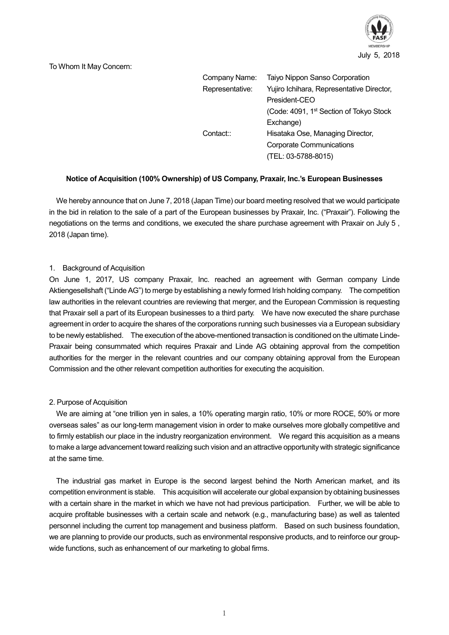

#### To Whom It May Concern:

| Company Name:   | Taiyo Nippon Sanso Corporation                      |
|-----------------|-----------------------------------------------------|
| Representative: | Yujiro Ichihara, Representative Director,           |
|                 | President-CEO                                       |
|                 | (Code: 4091, 1 <sup>st</sup> Section of Tokyo Stock |
|                 | Exchange)                                           |
| Contact::       | Hisataka Ose, Managing Director,                    |
|                 | <b>Corporate Communications</b>                     |
|                 | (TEL: 03-5788-8015)                                 |

## **Notice of Acquisition (100% Ownership) of US Company, Praxair, Inc.'s European Businesses**

We hereby announce that on June 7, 2018 (Japan Time) our board meeting resolved that we would participate in the bid in relation to the sale of a part of the European businesses by Praxair, Inc. ("Praxair"). Following the negotiations on the terms and conditions, we executed the share purchase agreement with Praxair on July 5 , 2018 (Japan time).

#### 1. Background of Acquisition

On June 1, 2017, US company Praxair, Inc. reached an agreement with German company Linde Aktiengesellshaft ("Linde AG") to merge by establishing a newly formed Irish holding company. The competition law authorities in the relevant countries are reviewing that merger, and the European Commission is requesting that Praxair sell a part of its European businesses to a third party. We have now executed the share purchase agreement in order to acquire the shares of the corporations running such businesses via a European subsidiary to be newly established. The execution of the above-mentioned transaction is conditioned on the ultimate Linde-Praxair being consummated which requires Praxair and Linde AG obtaining approval from the competition authorities for the merger in the relevant countries and our company obtaining approval from the European Commission and the other relevant competition authorities for executing the acquisition.

#### 2. Purpose of Acquisition

We are aiming at "one trillion yen in sales, a 10% operating margin ratio, 10% or more ROCE, 50% or more overseas sales" as our long-term management vision in order to make ourselves more globally competitive and to firmly establish our place in the industry reorganization environment. We regard this acquisition as a means to make a large advancement toward realizing such vision and an attractive opportunity with strategic significance at the same time.

The industrial gas market in Europe is the second largest behind the North American market, and its competition environment is stable. This acquisition will accelerate our global expansion by obtaining businesses with a certain share in the market in which we have not had previous participation. Further, we will be able to acquire profitable businesses with a certain scale and network (e.g., manufacturing base) as well as talented personnel including the current top management and business platform. Based on such business foundation, we are planning to provide our products, such as environmental responsive products, and to reinforce our groupwide functions, such as enhancement of our marketing to global firms.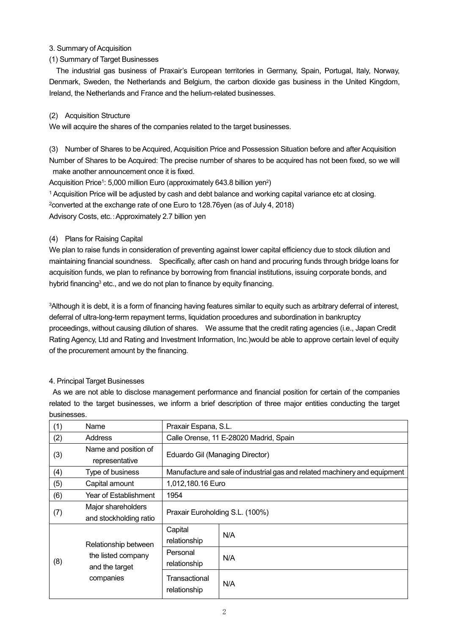## 3. Summary of Acquisition

# (1) Summary of Target Businesses

The industrial gas business of Praxair's European territories in Germany, Spain, Portugal, Italy, Norway, Denmark, Sweden, the Netherlands and Belgium, the carbon dioxide gas business in the United Kingdom, Ireland, the Netherlands and France and the helium-related businesses.

### (2) Acquisition Structure

We will acquire the shares of the companies related to the target businesses.

(3) Number of Shares to be Acquired, Acquisition Price and Possession Situation before and after Acquisition Number of Shares to be Acquired: The precise number of shares to be acquired has not been fixed, so we will make another announcement once it is fixed.

Acquisition Price<sup>1</sup>: 5,000 million Euro (approximately 643.8 billion yen<sup>2</sup>)

<sup>1</sup> Acquisition Price will be adjusted by cash and debt balance and working capital variance etc at closing.

<sup>2</sup>converted at the exchange rate of one Euro to 128.76yen (as of July 4, 2018)

Advisory Costs, etc.:Approximately 2.7 billion yen

# (4) Plans for Raising Capital

We plan to raise funds in consideration of preventing against lower capital efficiency due to stock dilution and maintaining financial soundness. Specifically, after cash on hand and procuring funds through bridge loans for acquisition funds, we plan to refinance by borrowing from financial institutions, issuing corporate bonds, and hybrid financing<sup>3</sup> etc., and we do not plan to finance by equity financing.

<sup>3</sup>Although it is debt, it is a form of financing having features similar to equity such as arbitrary deferral of interest, deferral of ultra-long-term repayment terms, liquidation procedures and subordination in bankruptcy proceedings, without causing dilution of shares. We assume that the credit rating agencies (i.e., Japan Credit Rating Agency, Ltd and Rating and Investment Information, Inc.)would be able to approve certain level of equity of the procurement amount by the financing.

# 4. Principal Target Businesses

As we are not able to disclose management performance and financial position for certain of the companies related to the target businesses, we inform a brief description of three major entities conducting the target businesses.

| (1)                                                                              | Name                                         | Praxair Espana, S.L.                                                       |     |  |
|----------------------------------------------------------------------------------|----------------------------------------------|----------------------------------------------------------------------------|-----|--|
| (2)                                                                              | Address                                      | Calle Orense, 11 E-28020 Madrid, Spain                                     |     |  |
| (3)                                                                              | Name and position of<br>representative       | Eduardo Gil (Managing Director)                                            |     |  |
| (4)                                                                              | Type of business                             | Manufacture and sale of industrial gas and related machinery and equipment |     |  |
| (5)                                                                              | Capital amount                               | 1,012,180.16 Euro                                                          |     |  |
| (6)                                                                              | Year of Establishment                        | 1954                                                                       |     |  |
| (7)                                                                              | Major shareholders<br>and stockholding ratio | Praxair Euroholding S.L. (100%)                                            |     |  |
| Relationship between<br>the listed company<br>(8)<br>and the target<br>companies | Capital<br>relationship                      | N/A                                                                        |     |  |
|                                                                                  |                                              | Personal<br>relationship                                                   | N/A |  |
|                                                                                  |                                              | Transactional<br>relationship                                              | N/A |  |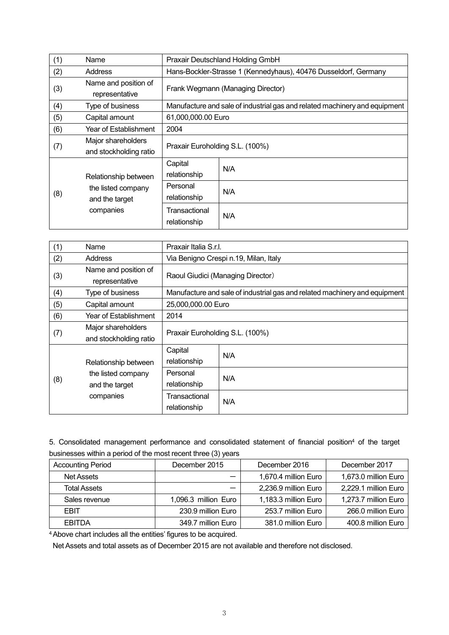| (1)                                                                              | Name                                         | Praxair Deutschland Holding GmbH                                           |     |  |
|----------------------------------------------------------------------------------|----------------------------------------------|----------------------------------------------------------------------------|-----|--|
| (2)                                                                              | Address                                      | Hans-Bockler-Strasse 1 (Kennedyhaus), 40476 Dusseldorf, Germany            |     |  |
| (3)                                                                              | Name and position of<br>representative       | Frank Wegmann (Managing Director)                                          |     |  |
| (4)                                                                              | Type of business                             | Manufacture and sale of industrial gas and related machinery and equipment |     |  |
| (5)                                                                              | Capital amount                               | 61,000,000.00 Euro                                                         |     |  |
| (6)                                                                              | Year of Establishment                        | 2004                                                                       |     |  |
| (7)                                                                              | Major shareholders<br>and stockholding ratio | Praxair Euroholding S.L. (100%)                                            |     |  |
| Relationship between<br>the listed company<br>(8)<br>and the target<br>companies | Capital<br>relationship                      | N/A                                                                        |     |  |
|                                                                                  |                                              | Personal<br>relationship                                                   | N/A |  |
|                                                                                  |                                              | Transactional<br>relationship                                              | N/A |  |

| (1) | Name                                              | Praxair Italia S.r.I.                                                      |     |  |
|-----|---------------------------------------------------|----------------------------------------------------------------------------|-----|--|
| (2) | Address                                           | Via Benigno Crespi n.19, Milan, Italy                                      |     |  |
| (3) | Name and position of<br>representative            | Raoul Giudici (Managing Director)                                          |     |  |
| (4) | Type of business                                  | Manufacture and sale of industrial gas and related machinery and equipment |     |  |
| (5) | Capital amount                                    | 25,000,000.00 Euro                                                         |     |  |
| (6) | Year of Establishment                             | 2014                                                                       |     |  |
| (7) | Major shareholders<br>and stockholding ratio      | Praxair Euroholding S.L. (100%)                                            |     |  |
|     | Relationship between                              | Capital<br>relationship                                                    | N/A |  |
| (8) | the listed company<br>and the target<br>companies | Personal<br>relationship                                                   | N/A |  |
|     |                                                   | Transactional<br>relationship                                              | N/A |  |

5. Consolidated management performance and consolidated statement of financial position <sup>4</sup> of the target businesses within a period of the most recent three (3) years

| <b>Accounting Period</b> | December 2015        | December 2016        | December 2017        |
|--------------------------|----------------------|----------------------|----------------------|
| Net Assets               |                      | 1,670.4 million Euro | 1,673.0 million Euro |
| <b>Total Assets</b>      |                      | 2,236.9 million Euro | 2,229.1 million Euro |
| Sales revenue            | 1,096.3 million Euro | 1,183.3 million Euro | 1,273.7 million Euro |
| <b>FBIT</b>              | 230.9 million Euro   | 253.7 million Euro   | 266.0 million Euro   |
| <b>EBITDA</b>            | 349.7 million Euro   | 381.0 million Euro   | 400.8 million Euro   |

<sup>4</sup>Above chart includes all the entities' figures to be acquired.

Net Assets and total assets as of December 2015 are not available and therefore not disclosed.